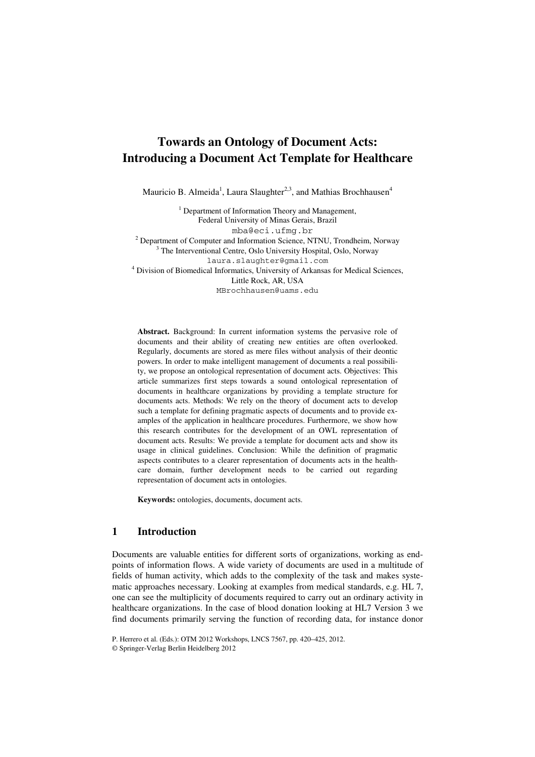# **Towards an Ontology of Document Acts: Introducing a Document Act Template for Healthcare**

Mauricio B. Almeida<sup>1</sup>, Laura Slaughter<sup>2,3</sup>, and Mathias Brochhausen<sup>4</sup>

<sup>1</sup> Department of Information Theory and Management, Federal University of Minas Gerais, Brazil mba@eci.ufmg.br <sup>2</sup> Department of Computer and Information Science, NTNU, Trondheim, Norway  $\frac{3}{2}$  The Interventional Centre, Oslo University Hespital, Oslo, Norway <sup>3</sup> The Interventional Centre, Oslo University Hospital, Oslo, Norway laura.slaughter@gmail.com <sup>4</sup> Division of Biomedical Informatics, University of Arkansas for Medical Sciences, Little Rock, AR, USA MBrochhausen@uams.edu

**Abstract.** Background: In current information systems the pervasive role of documents and their ability of creating new entities are often overlooked. Regularly, documents are stored as mere files without analysis of their deontic powers. In order to make intelligent management of documents a real possibility, we propose an ontological representation of document acts. Objectives: This article summarizes first steps towards a sound ontological representation of documents in healthcare organizations by providing a template structure for documents acts. Methods: We rely on the theory of document acts to develop such a template for defining pragmatic aspects of documents and to provide examples of the application in healthcare procedures. Furthermore, we show how this research contributes for the development of an OWL representation of document acts. Results: We provide a template for document acts and show its usage in clinical guidelines. Conclusion: While the definition of pragmatic aspects contributes to a clearer representation of documents acts in the healthcare domain, further development needs to be carried out regarding representation of document acts in ontologies.

**Keywords:** ontologies, documents, document acts.

## **1 Introduction**

Documents are valuable entities for different sorts of organizations, working as endpoints of information flows. A wide variety of documents are used in a multitude of fields of human activity, which adds to the complexity of the task and makes systematic approaches necessary. Looking at examples from medical standards, e.g. HL 7, one can see the multiplicity of documents required to carry out an ordinary activity in healthcare organizations. In the case of blood donation looking at HL7 Version 3 we find documents primarily serving the function of recording data, for instance donor

P. Herrero et al. (Eds.): OTM 2012 Workshops, LNCS 7567, pp. 420–425, 2012.

<sup>©</sup> Springer-Verlag Berlin Heidelberg 2012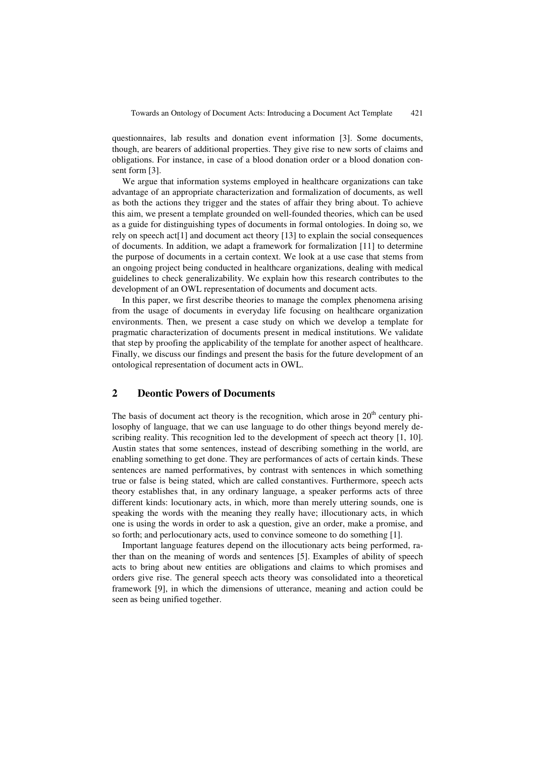questionnaires, lab results and donation event information [3]. Some documents, though, are bearers of additional properties. They give rise to new sorts of claims and obligations. For instance, in case of a blood donation order or a blood donation consent form [3].

We argue that information systems employed in healthcare organizations can take advantage of an appropriate characterization and formalization of documents, as well as both the actions they trigger and the states of affair they bring about. To achieve this aim, we present a template grounded on well-founded theories, which can be used as a guide for distinguishing types of documents in formal ontologies. In doing so, we rely on speech act[1] and document act theory [13] to explain the social consequences of documents. In addition, we adapt a framework for formalization [11] to determine the purpose of documents in a certain context. We look at a use case that stems from an ongoing project being conducted in healthcare organizations, dealing with medical guidelines to check generalizability. We explain how this research contributes to the development of an OWL representation of documents and document acts.

In this paper, we first describe theories to manage the complex phenomena arising from the usage of documents in everyday life focusing on healthcare organization environments. Then, we present a case study on which we develop a template for pragmatic characterization of documents present in medical institutions. We validate that step by proofing the applicability of the template for another aspect of healthcare. Finally, we discuss our findings and present the basis for the future development of an ontological representation of document acts in OWL.

# **2 Deontic Powers of Documents**

The basis of document act theory is the recognition, which arose in  $20<sup>th</sup>$  century philosophy of language, that we can use language to do other things beyond merely describing reality. This recognition led to the development of speech act theory [1, 10]. Austin states that some sentences, instead of describing something in the world, are enabling something to get done. They are performances of acts of certain kinds. These sentences are named performatives, by contrast with sentences in which something true or false is being stated, which are called constantives. Furthermore, speech acts theory establishes that, in any ordinary language, a speaker performs acts of three different kinds: locutionary acts, in which, more than merely uttering sounds, one is speaking the words with the meaning they really have; illocutionary acts, in which one is using the words in order to ask a question, give an order, make a promise, and so forth; and perlocutionary acts, used to convince someone to do something [1].

Important language features depend on the illocutionary acts being performed, rather than on the meaning of words and sentences [5]. Examples of ability of speech acts to bring about new entities are obligations and claims to which promises and orders give rise. The general speech acts theory was consolidated into a theoretical framework [9], in which the dimensions of utterance, meaning and action could be seen as being unified together.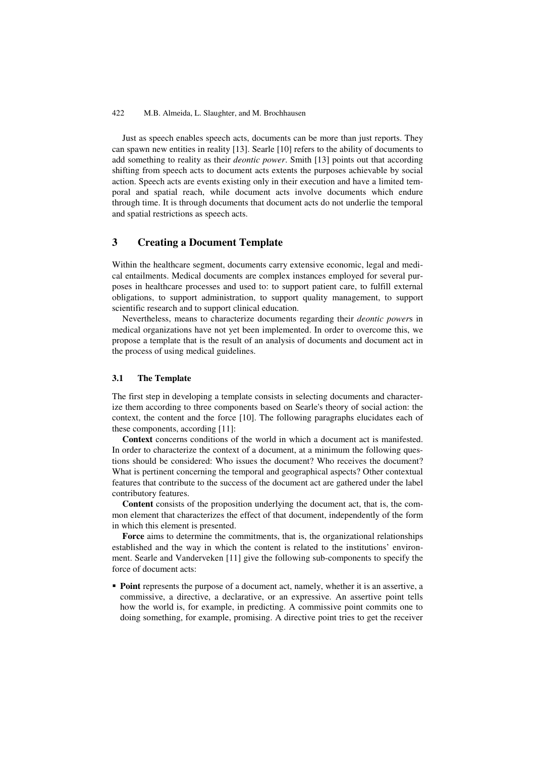#### 422 M.B. Almeida, L. Slaughter, and M. Brochhausen

Just as speech enables speech acts, documents can be more than just reports. They can spawn new entities in reality [13]. Searle [10] refers to the ability of documents to add something to reality as their *deontic power*. Smith [13] points out that according shifting from speech acts to document acts extents the purposes achievable by social action. Speech acts are events existing only in their execution and have a limited temporal and spatial reach, while document acts involve documents which endure through time. It is through documents that document acts do not underlie the temporal and spatial restrictions as speech acts.

# **3 Creating a Document Template**

Within the healthcare segment, documents carry extensive economic, legal and medical entailments. Medical documents are complex instances employed for several purposes in healthcare processes and used to: to support patient care, to fulfill external obligations, to support administration, to support quality management, to support scientific research and to support clinical education.

Nevertheless, means to characterize documents regarding their *deontic power*s in medical organizations have not yet been implemented. In order to overcome this, we propose a template that is the result of an analysis of documents and document act in the process of using medical guidelines.

## **3.1 The Template**

The first step in developing a template consists in selecting documents and characterize them according to three components based on Searle's theory of social action: the context, the content and the force [10]. The following paragraphs elucidates each of these components, according [11]:

**Context** concerns conditions of the world in which a document act is manifested. In order to characterize the context of a document, at a minimum the following questions should be considered: Who issues the document? Who receives the document? What is pertinent concerning the temporal and geographical aspects? Other contextual features that contribute to the success of the document act are gathered under the label contributory features.

**Content** consists of the proposition underlying the document act, that is, the common element that characterizes the effect of that document, independently of the form in which this element is presented.

**Force** aims to determine the commitments, that is, the organizational relationships established and the way in which the content is related to the institutions' environment. Searle and Vanderveken [11] give the following sub-components to specify the force of document acts:

**Point** represents the purpose of a document act, namely, whether it is an assertive, a commissive, a directive, a declarative, or an expressive. An assertive point tells how the world is, for example, in predicting. A commissive point commits one to doing something, for example, promising. A directive point tries to get the receiver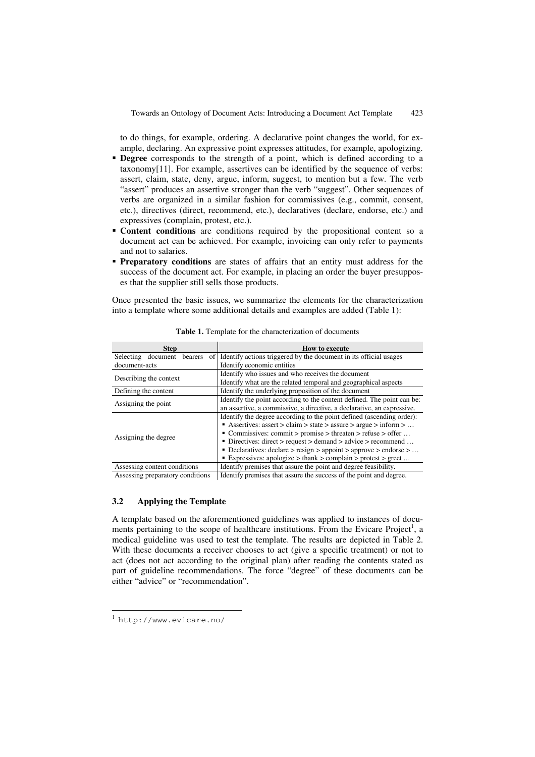to do things, for example, ordering. A declarative point changes the world, for example, declaring. An expressive point expresses attitudes, for example, apologizing.

- **Degree** corresponds to the strength of a point, which is defined according to a taxonomy[11]. For example, assertives can be identified by the sequence of verbs: assert, claim, state, deny, argue, inform, suggest, to mention but a few. The verb "assert" produces an assertive stronger than the verb "suggest". Other sequences of verbs are organized in a similar fashion for commissives (e.g., commit, consent, etc.), directives (direct, recommend, etc.), declaratives (declare, endorse, etc.) and expressives (complain, protest, etc.).
- **Content conditions** are conditions required by the propositional content so a document act can be achieved. For example, invoicing can only refer to payments and not to salaries.
- **Preparatory conditions** are states of affairs that an entity must address for the success of the document act. For example, in placing an order the buyer presupposes that the supplier still sells those products.

Once presented the basic issues, we summarize the elements for the characterization into a template where some additional details and examples are added (Table 1):

| <b>Step</b>                   | <b>How to execute</b>                                                                   |  |  |
|-------------------------------|-----------------------------------------------------------------------------------------|--|--|
| bearers<br>Selecting document | of Identify actions triggered by the document in its official usages                    |  |  |
| document-acts                 | Identify economic entities                                                              |  |  |
| Describing the context        | Identify who issues and who receives the document                                       |  |  |
|                               | Identify what are the related temporal and geographical aspects                         |  |  |
| Defining the content          | Identify the underlying proposition of the document                                     |  |  |
| Assigning the point           | Identify the point according to the content defined. The point can be:                  |  |  |
|                               | an assertive, a commissive, a directive, a declarative, an expressive.                  |  |  |
|                               | Identify the degree according to the point defined (ascending order):                   |  |  |
| Assigning the degree          | Assertives: assert > claim > state > assure > argue > inform >                          |  |  |
|                               | • Commissives: commit > promise > threaten > refuse > offer                             |  |  |
|                               | Directives: direct > request > demand > advice > recommend                              |  |  |
|                               | Declaratives: $\text{dec}$ are $>$ resign $>$ appoint $>$ approve $>$ endorse $> \dots$ |  |  |
|                               | Expressives: apologize > thank > complain > protest > greet                             |  |  |
| Assessing content conditions  | Identify premises that assure the point and degree feasibility.                         |  |  |

**Table 1.** Template for the characterization of documents

Assessing preparatory conditions I dentify premises that assure the success of the point and degree.

#### **3.2 Applying the Template**

A template based on the aforementioned guidelines was applied to instances of documents pertaining to the scope of healthcare institutions. From the Evicare Project<sup>1</sup>, a medical guideline was used to test the template. The results are depicted in Table 2. With these documents a receiver chooses to act (give a specific treatment) or not to act (does not act according to the original plan) after reading the contents stated as part of guideline recommendations. The force "degree" of these documents can be either "advice" or "recommendation".

 1 http://www.evicare.no/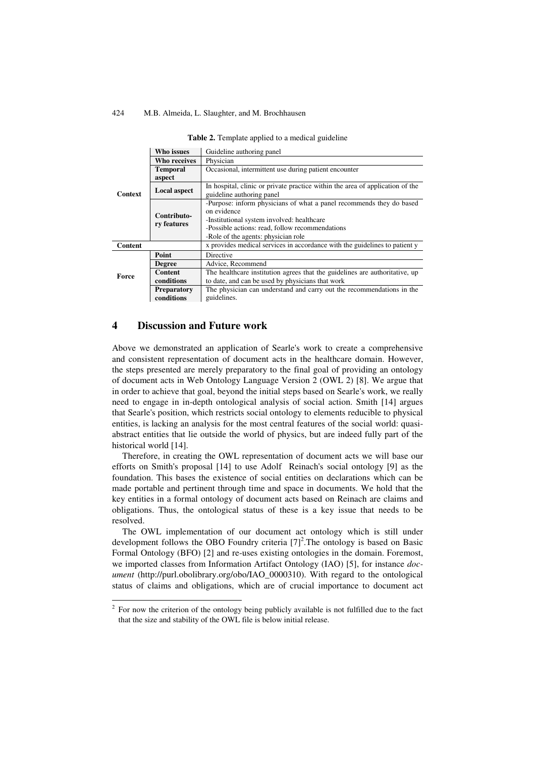#### 424 M.B. Almeida, L. Slaughter, and M. Brochhausen

|  |  |  | Table 2. Template applied to a medical guideline |  |  |
|--|--|--|--------------------------------------------------|--|--|
|--|--|--|--------------------------------------------------|--|--|

|                | Who issues                       | Guideline authoring panel                                                                                                                                                                                                   |  |  |
|----------------|----------------------------------|-----------------------------------------------------------------------------------------------------------------------------------------------------------------------------------------------------------------------------|--|--|
|                | Who receives                     | Physician                                                                                                                                                                                                                   |  |  |
|                | <b>Temporal</b>                  | Occasional, intermittent use during patient encounter                                                                                                                                                                       |  |  |
| <b>Context</b> | aspect                           |                                                                                                                                                                                                                             |  |  |
|                | <b>Local aspect</b>              | In hospital, clinic or private practice within the area of application of the<br>guideline authoring panel                                                                                                                  |  |  |
|                | Contributo-<br>ry features       | -Purpose: inform physicians of what a panel recommends they do based<br>on evidence<br>-Institutional system involved: healthcare<br>-Possible actions: read, follow recommendations<br>-Role of the agents: physician role |  |  |
| Content        |                                  | x provides medical services in accordance with the guidelines to patient y                                                                                                                                                  |  |  |
|                | Point                            | Directive                                                                                                                                                                                                                   |  |  |
| Force          | <b>Degree</b>                    | Advice, Recommend                                                                                                                                                                                                           |  |  |
|                | <b>Content</b>                   | The healthcare institution agrees that the guidelines are authoritative, up                                                                                                                                                 |  |  |
|                | conditions                       | to date, and can be used by physicians that work                                                                                                                                                                            |  |  |
|                | <b>Preparatory</b><br>conditions | The physician can understand and carry out the recommendations in the<br>guidelines.                                                                                                                                        |  |  |

## **4 Discussion and Future work**

Above we demonstrated an application of Searle's work to create a comprehensive and consistent representation of document acts in the healthcare domain. However, the steps presented are merely preparatory to the final goal of providing an ontology of document acts in Web Ontology Language Version 2 (OWL 2) [8]. We argue that in order to achieve that goal, beyond the initial steps based on Searle's work, we really need to engage in in-depth ontological analysis of social action. Smith [14] argues that Searle's position, which restricts social ontology to elements reducible to physical entities, is lacking an analysis for the most central features of the social world: quasiabstract entities that lie outside the world of physics, but are indeed fully part of the historical world [14].

Therefore, in creating the OWL representation of document acts we will base our efforts on Smith's proposal [14] to use Adolf Reinach's social ontology [9] as the foundation. This bases the existence of social entities on declarations which can be made portable and pertinent through time and space in documents. We hold that the key entities in a formal ontology of document acts based on Reinach are claims and obligations. Thus, the ontological status of these is a key issue that needs to be resolved.

The OWL implementation of our document act ontology which is still under development follows the OBO Foundry criteria  $[7]^2$ . The ontology is based on Basic Formal Ontology (BFO) [2] and re-uses existing ontologies in the domain. Foremost, we imported classes from Information Artifact Ontology (IAO) [5], for instance *document* (http://purl.obolibrary.org/obo/IAO\_0000310). With regard to the ontological status of claims and obligations, which are of crucial importance to document act

<sup>&</sup>lt;sup>2</sup> For now the criterion of the ontology being publicly available is not fulfilled due to the fact that the size and stability of the OWL file is below initial release.